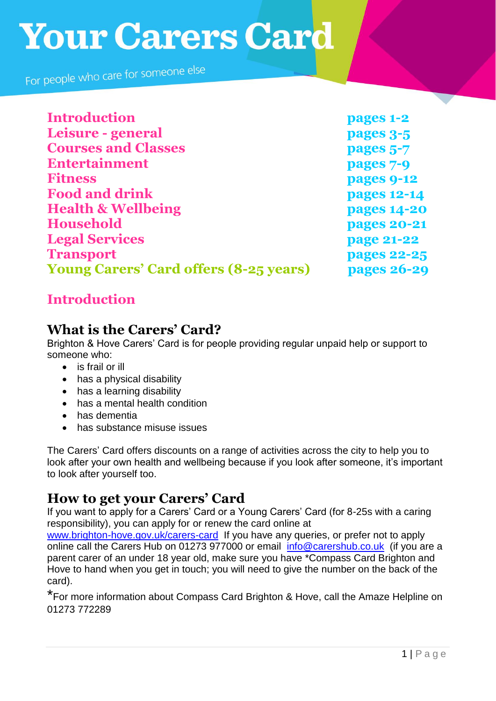For people who care for someone else

| <b>Introduction</b>                           | pages 1-2          |
|-----------------------------------------------|--------------------|
| Leisure - general                             | pages 3-5          |
| <b>Courses and Classes</b>                    | pages 5-7          |
| <b>Entertainment</b>                          | pages 7-9          |
| <b>Fitness</b>                                | pages 9-12         |
| <b>Food and drink</b>                         | pages 12-14        |
| <b>Health &amp; Wellbeing</b>                 | <b>pages 14-20</b> |
| Household                                     | <b>pages 20-21</b> |
| <b>Legal Services</b>                         | page 21-22         |
| <b>Transport</b>                              | pages 22-25        |
| <b>Young Carers' Card offers (8-25 years)</b> | <b>pages 26-29</b> |

# **Introduction**

# **What is the Carers' Card?**

Brighton & Hove Carers' Card is for people providing regular unpaid help or support to someone who:

- is frail or ill
- has a physical disability
- has a learning disability
- has a mental health condition
- has dementia
- has substance misuse issues

The Carers' Card offers discounts on a range of activities across the city to help you to look after your own health and wellbeing because if you look after someone, it's important to look after yourself too.

# **How to get your Carers' Card**

If you want to apply for a Carers' Card or a Young Carers' Card (for 8-25s with a caring responsibility), you can apply for or renew the card online at

[www.brighton-hove.gov.uk/carers-card](http://www.brighton-hove.gov.uk/carers-card) If you have any queries, or prefer not to apply online call the Carers Hub on 01273 977000 or email [info@carershub.co.uk](mailto:info@carershub.co.uk) (if you are a parent carer of an under 18 year old, make sure you have \*Compass Card Brighton and Hove to hand when you get in touch; you will need to give the number on the back of the card).

\*For more information about Compass Card Brighton & Hove, call the Amaze Helpline on 01273 772289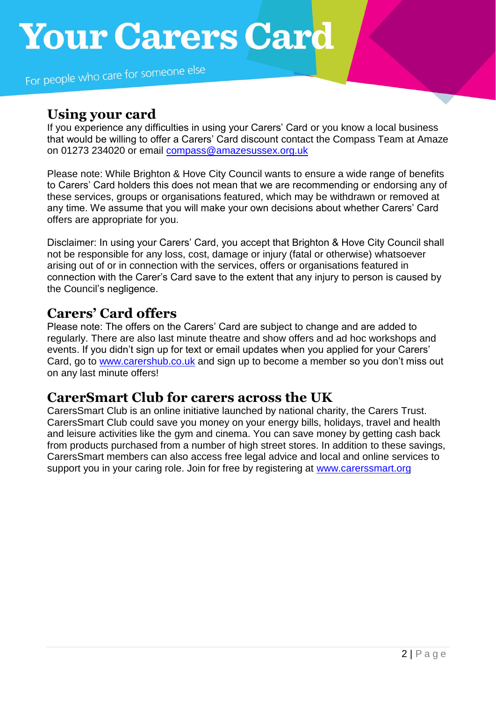For people who care for someone else

# **Using your card**

If you experience any difficulties in using your Carers' Card or you know a local business that would be willing to offer a Carers' Card discount contact the Compass Team at Amaze on 01273 234020 or email [compass@amazesussex.org.uk](mailto:compass@amazesussex.org.uk)

Please note: While Brighton & Hove City Council wants to ensure a wide range of benefits to Carers' Card holders this does not mean that we are recommending or endorsing any of these services, groups or organisations featured, which may be withdrawn or removed at any time. We assume that you will make your own decisions about whether Carers' Card offers are appropriate for you.

Disclaimer: In using your Carers' Card, you accept that Brighton & Hove City Council shall not be responsible for any loss, cost, damage or injury (fatal or otherwise) whatsoever arising out of or in connection with the services, offers or organisations featured in connection with the Carer's Card save to the extent that any injury to person is caused by the Council's negligence.

# **Carers' Card offers**

Please note: The offers on the Carers' Card are subject to change and are added to regularly. There are also last minute theatre and show offers and ad hoc workshops and events. If you didn't sign up for text or email updates when you applied for your Carers' Card, go to [www.carershub.co.uk](http://www.carershub.co.uk/) and sign up to become a member so you don't miss out on any last minute offers!

# **CarerSmart Club for carers across the UK**

CarersSmart Club is an online initiative launched by national charity, the Carers Trust. CarersSmart Club could save you money on your energy bills, holidays, travel and health and leisure activities like the gym and cinema. You can save money by getting cash back from products purchased from a number of high street stores. In addition to these savings, CarersSmart members can also access free legal advice and local and online services to support you in your caring role. Join for free by registering at [www.carerssmart.org](http://www.carerssmart.org/)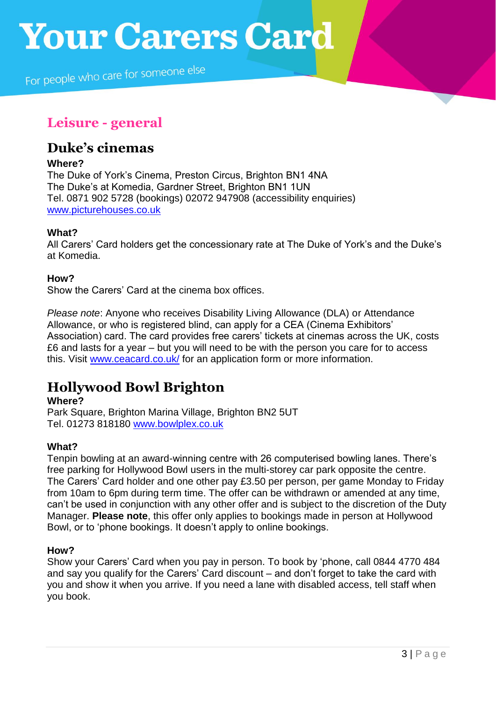For people who care for someone else

# **Leisure - general**

# **Duke's cinemas**

### **Where?**

The Duke of York's Cinema, Preston Circus, Brighton BN1 4NA The Duke's at Komedia, Gardner Street, Brighton BN1 1UN Tel. 0871 902 5728 (bookings) 02072 947908 (accessibility enquiries) [www.picturehouses.co.uk](http://www.picturehouses.co.uk/)

## **What?**

All Carers' Card holders get the concessionary rate at The Duke of York's and the Duke's at Komedia.

## **How?**

Show the Carers' Card at the cinema box offices.

*Please note*: Anyone who receives Disability Living Allowance (DLA) or Attendance Allowance, or who is registered blind, can apply for a CEA (Cinema Exhibitors' Association) card. The card provides free carers' tickets at cinemas across the UK, costs £6 and lasts for a year – but you will need to be with the person you care for to access this. Visit [www.ceacard.co.uk/](http://www.ceacard.co.uk/) for an application form or more information.

# **Hollywood Bowl Brighton**

### **Where?**

Park Square, Brighton Marina Village, Brighton BN2 5UT Tel. 01273 818180 [www.bowlplex.co.uk](http://www.bowlplex.co.uk/)

## **What?**

Tenpin bowling at an award-winning centre with 26 computerised bowling lanes. There's free parking for Hollywood Bowl users in the multi-storey car park opposite the centre. The Carers' Card holder and one other pay £3.50 per person, per game Monday to Friday from 10am to 6pm during term time. The offer can be withdrawn or amended at any time, can't be used in conjunction with any other offer and is subject to the discretion of the Duty Manager. **Please note**, this offer only applies to bookings made in person at Hollywood Bowl, or to 'phone bookings. It doesn't apply to online bookings.

## **How?**

Show your Carers' Card when you pay in person. To book by 'phone, call 0844 4770 484 and say you qualify for the Carers' Card discount – and don't forget to take the card with you and show it when you arrive. If you need a lane with disabled access, tell staff when you book.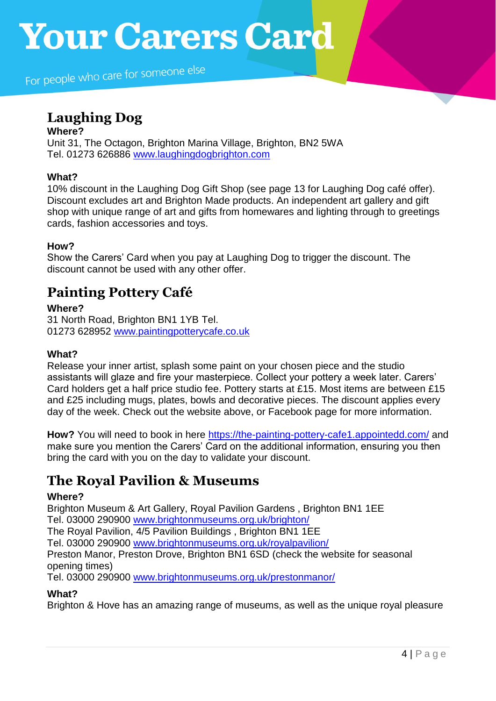For people who care for someone else

# **Laughing Dog**

**Where?** Unit 31, The Octagon, Brighton Marina Village, Brighton, BN2 5WA Tel. 01273 626886 [www.laughingdogbrighton.com](http://www.laughingdogbrighton.com/)

## **What?**

10% discount in the Laughing Dog Gift Shop (see page 13 for Laughing Dog café offer). Discount excludes art and Brighton Made products. An independent art gallery and gift shop with unique range of art and gifts from homewares and lighting through to greetings cards, fashion accessories and toys.

## **How?**

Show the Carers' Card when you pay at Laughing Dog to trigger the discount. The discount cannot be used with any other offer.

# **Painting Pottery Café**

## **Where?**

31 North Road, Brighton BN1 1YB Tel. 01273 628952 [www.paintingpotterycafe.co.uk](http://www.paintingpotterycafe.co.uk/)

## **What?**

Release your inner artist, splash some paint on your chosen piece and the studio assistants will glaze and fire your masterpiece. Collect your pottery a week later. Carers' Card holders get a half price studio fee. Pottery starts at £15. Most items are between £15 and £25 including mugs, plates, bowls and decorative pieces. The discount applies every day of the week. Check out the website above, or Facebook page for more information.

**How?** You will need to book in here<https://the-painting-pottery-cafe1.appointedd.com/> and make sure you mention the Carers' Card on the additional information, ensuring you then bring the card with you on the day to validate your discount.

# **The Royal Pavilion & Museums**

### **Where?**

Brighton Museum & Art Gallery, Royal Pavilion Gardens , Brighton BN1 1EE Tel. 03000 290900 [www.brightonmuseums.org.uk/brighton/](http://www.brightonmuseums.org.uk/brighton/) The Royal Pavilion, 4/5 Pavilion Buildings , Brighton BN1 1EE Tel. 03000 290900 [www.brightonmuseums.org.uk/royalpavilion/](http://www.brightonmuseums.org.uk/royalpavilion/) Preston Manor, Preston Drove, Brighton BN1 6SD (check the website for seasonal opening times) Tel. 03000 290900 [www.brightonmuseums.org.uk/prestonmanor/](http://www.brightonmuseums.org.uk/prestonmanor/)

### **What?**

Brighton & Hove has an amazing range of museums, as well as the unique royal pleasure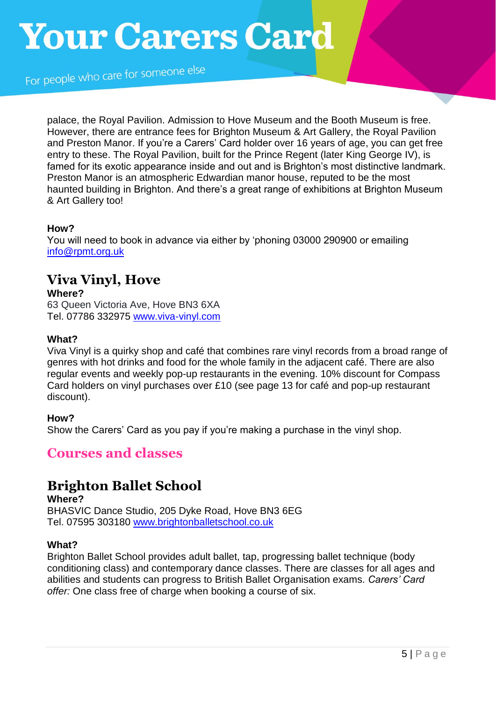For people who care for someone else

palace, the Royal Pavilion. Admission to Hove Museum and the Booth Museum is free. However, there are entrance fees for Brighton Museum & Art Gallery, the Royal Pavilion and Preston Manor. If you're a Carers' Card holder over 16 years of age, you can get free entry to these. The Royal Pavilion, built for the Prince Regent (later King George IV), is famed for its exotic appearance inside and out and is Brighton's most distinctive landmark. Preston Manor is an atmospheric Edwardian manor house, reputed to be the most haunted building in Brighton. And there's a great range of exhibitions at Brighton Museum & Art Gallery too!

### **How?**

You will need to book in advance via either by 'phoning 03000 290900 or emailing [info@rpmt.org.uk](mailto:info@rpmt.org.uk)

# **Viva Vinyl, Hove**

**Where?**

63 Queen Victoria Ave, Hove BN3 6XA Tel. 07786 332975 [www.viva-vinyl.com](http://www.viva-vinyl.com/)

## **What?**

Viva Vinyl is a quirky shop and café that combines rare vinyl records from a broad range of genres with hot drinks and food for the whole family in the adjacent café. There are also regular events and weekly pop-up restaurants in the evening. 10% discount for Compass Card holders on vinyl purchases over £10 (see page 13 for café and pop-up restaurant discount).

**How?**

Show the Carers' Card as you pay if you're making a purchase in the vinyl shop.

# **Courses and classes**

# **Brighton Ballet School**

**Where?** BHASVIC Dance Studio, 205 Dyke Road, Hove BN3 6EG Tel. 07595 303180 [www.brightonballetschool.co.uk](http://www.brightonballetschool.co.uk/)

### **What?**

Brighton Ballet School provides adult ballet, tap, progressing ballet technique (body conditioning class) and contemporary dance classes. There are classes for all ages and abilities and students can progress to British Ballet Organisation exams. *Carers' Card offer:* One class free of charge when booking a course of six.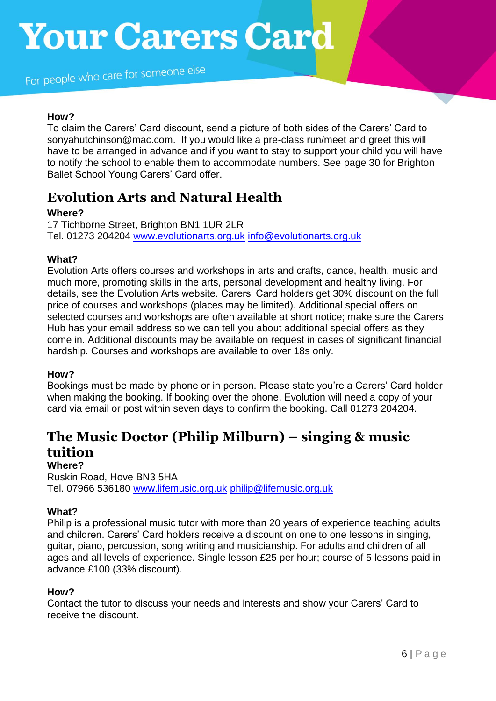For people who care for someone else

## **How?**

To claim the Carers' Card discount, send a picture of both sides of the Carers' Card to sonyahutchinson@mac.com. If you would like a pre-class run/meet and greet this will have to be arranged in advance and if you want to stay to support your child you will have to notify the school to enable them to accommodate numbers. See page 30 for Brighton Ballet School Young Carers' Card offer.

# **Evolution Arts and Natural Health**

### **Where?**

17 Tichborne Street, Brighton BN1 1UR 2LR Tel. 01273 204204 [www.evolutionarts.org.uk](http://www.evolutionarts.org.uk/) [info@evolutionarts.org.uk](mailto:info@evolutionarts.org.uk)

## **What?**

Evolution Arts offers courses and workshops in arts and crafts, dance, health, music and much more, promoting skills in the arts, personal development and healthy living. For details, see the Evolution Arts website. Carers' Card holders get 30% discount on the full price of courses and workshops (places may be limited). Additional special offers on selected courses and workshops are often available at short notice; make sure the Carers Hub has your email address so we can tell you about additional special offers as they come in. Additional discounts may be available on request in cases of significant financial hardship. Courses and workshops are available to over 18s only.

### **How?**

Bookings must be made by phone or in person. Please state you're a Carers' Card holder when making the booking. If booking over the phone, Evolution will need a copy of your card via email or post within seven days to confirm the booking. Call 01273 204204.

# **The Music Doctor (Philip Milburn) – singing & music tuition Where?**

## Ruskin Road, Hove BN3 5HA Tel. 07966 536180 [www.lifemusic.org.uk](http://www.lifemusic.org.uk/) [philip@lifemusic.org.uk](mailto:philip@lifemusic.org.uk)

### **What?**

Philip is a professional music tutor with more than 20 years of experience teaching adults and children. Carers' Card holders receive a discount on one to one lessons in singing, guitar, piano, percussion, song writing and musicianship. For adults and children of all ages and all levels of experience. Single lesson £25 per hour; course of 5 lessons paid in advance £100 (33% discount).

#### **How?**

Contact the tutor to discuss your needs and interests and show your Carers' Card to receive the discount.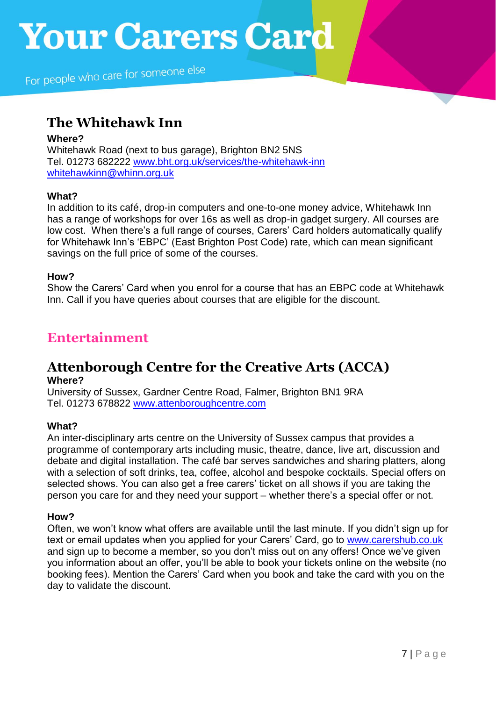# **The Whitehawk Inn**

# **Where?** Whitehawk Road (next to bus garage), Brighton BN2 5NS Tel. 01273 682222 [www.bht.org.uk/services/the-whitehawk-inn](http://www.bht.org.uk/services/the-whitehawk-inn)

[whitehawkinn@whinn.org.uk](mailto:whitehawkinn@whinn.org.uk)

## **What?**

In addition to its café, drop-in computers and one-to-one money advice, Whitehawk Inn has a range of workshops for over 16s as well as drop-in gadget surgery. All courses are low cost. When there's a full range of courses, Carers' Card holders automatically qualify for Whitehawk Inn's 'EBPC' (East Brighton Post Code) rate, which can mean significant savings on the full price of some of the courses.

## **How?**

Show the Carers' Card when you enrol for a course that has an EBPC code at Whitehawk Inn. Call if you have queries about courses that are eligible for the discount.

# **Entertainment**

# **Attenborough Centre for the Creative Arts (ACCA) Where?**

University of Sussex, Gardner Centre Road, Falmer, Brighton BN1 9RA Tel. 01273 678822 [www.attenboroughcentre.com](http://www.attenboroughcentre.com/)

## **What?**

An inter-disciplinary arts centre on the University of Sussex campus that provides a programme of contemporary arts including music, theatre, dance, live art, discussion and debate and digital installation. The café bar serves sandwiches and sharing platters, along with a selection of soft drinks, tea, coffee, alcohol and bespoke cocktails. Special offers on selected shows. You can also get a free carers' ticket on all shows if you are taking the person you care for and they need your support – whether there's a special offer or not.

### **How?**

Often, we won't know what offers are available until the last minute. If you didn't sign up for text or email updates when you applied for your Carers' Card, go to [www.carershub.co.uk](http://www.carershub.co.uk/) and sign up to become a member, so you don't miss out on any offers! Once we've given you information about an offer, you'll be able to book your tickets online on the website (no booking fees). Mention the Carers' Card when you book and take the card with you on the day to validate the discount.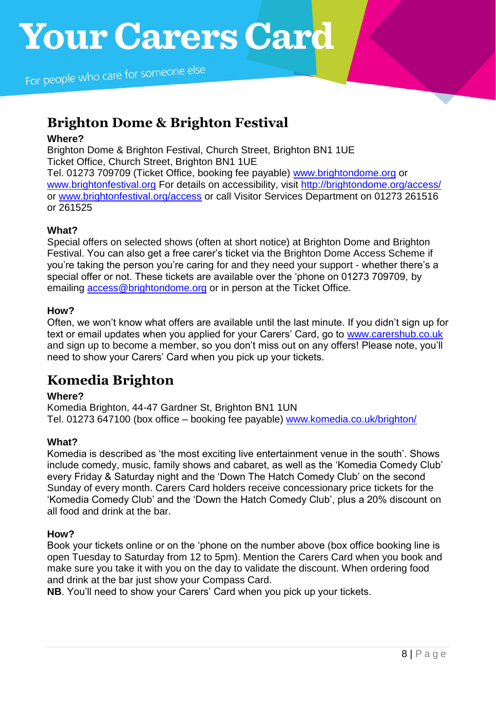# **Brighton Dome & Brighton Festival**

## **Where?**

Brighton Dome & Brighton Festival, Church Street, Brighton BN1 1UE Ticket Office, Church Street, Brighton BN1 1UE Tel. 01273 709709 (Ticket Office, booking fee payable) [www.brightondome.org](http://www.brightondome.org/) or [www.brightonfestival.org](https://amazesussex.sharepoint.com/Shared%20Documents/Compass/Compass%20and%20Carers) For details on accessibility, visit [http://brightondome.org/access/](http://brightondome.org/access/http:/brightondome.org/access/)

or [www.brightonfestival.org/access](http://www.brightonfestival.org/access) or call Visitor Services Department on 01273 261516 or 261525

# **What?**

Special offers on selected shows (often at short notice) at Brighton Dome and Brighton Festival. You can also get a free carer's ticket via the Brighton Dome Access Scheme if you're taking the person you're caring for and they need your support - whether there's a special offer or not. These tickets are available over the 'phone on 01273 709709, by emailing [access@brightondome.org](mailto:access@brightondome.org) or in person at the Ticket Office.

## **How?**

Often, we won't know what offers are available until the last minute. If you didn't sign up for text or email updates when you applied for your Carers' Card, go to [www.carershub.co.uk](http://www.carershub.co.uk/) and sign up to become a member, so you don't miss out on any offers! Please note, you'll need to show your Carers' Card when you pick up your tickets.

# **Komedia Brighton**

## **Where?**

Komedia Brighton, 44-47 Gardner St, Brighton BN1 1UN Tel. 01273 647100 (box office – booking fee payable) [www.komedia.co.uk/brighton/](http://www.komedia.co.uk/brighton/)

## **What?**

Komedia is described as 'the most exciting live entertainment venue in the south'. Shows include comedy, music, family shows and cabaret, as well as the 'Komedia Comedy Club' every Friday & Saturday night and the 'Down The Hatch Comedy Club' on the second Sunday of every month. Carers Card holders receive concessionary price tickets for the 'Komedia Comedy Club' and the 'Down the Hatch Comedy Club', plus a 20% discount on all food and drink at the bar.

### **How?**

Book your tickets online or on the 'phone on the number above (box office booking line is open Tuesday to Saturday from 12 to 5pm). Mention the Carers Card when you book and make sure you take it with you on the day to validate the discount. When ordering food and drink at the bar just show your Compass Card.

**NB**. You'll need to show your Carers' Card when you pick up your tickets.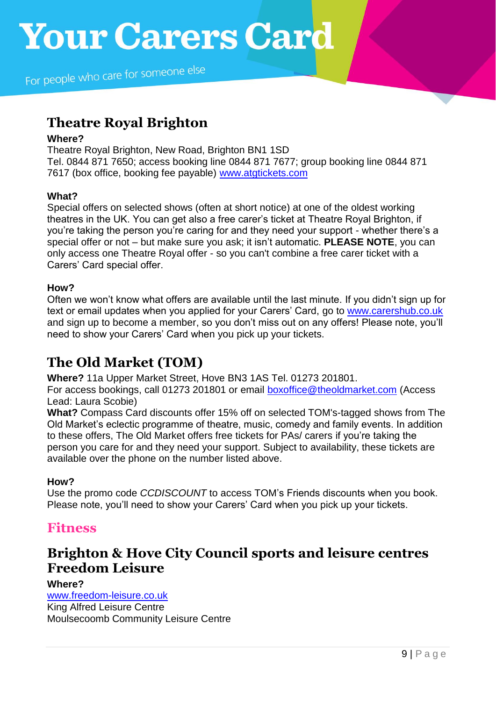# **Theatre Royal Brighton**

### **Where?**

Theatre Royal Brighton, New Road, Brighton BN1 1SD Tel. 0844 871 7650; access booking line 0844 871 7677; group booking line 0844 871 7617 (box office, booking fee payable) [www.atgtickets.com](http://www.ambassadortickets.com/brighton)

## **What?**

Special offers on selected shows (often at short notice) at one of the oldest working theatres in the UK. You can get also a free carer's ticket at Theatre Royal Brighton, if you're taking the person you're caring for and they need your support - whether there's a special offer or not – but make sure you ask; it isn't automatic. **PLEASE NOTE**, you can only access one Theatre Royal offer - so you can't combine a free carer ticket with a Carers' Card special offer.

## **How?**

Often we won't know what offers are available until the last minute. If you didn't sign up for text or email updates when you applied for your Carers' Card, go to [www.carershub.co.uk](http://www.carershub.co.uk/) and sign up to become a member, so you don't miss out on any offers! Please note, you'll need to show your Carers' Card when you pick up your tickets.

# **The Old Market (TOM)**

**Where?** 11a Upper Market Street, Hove BN3 1AS Tel. 01273 201801.

For access bookings, call 01273 201801 or email [boxoffice@theoldmarket.com](mailto:boxoffice@theoldmarket.com) (Access Lead: Laura Scobie)

**What?** Compass Card discounts offer 15% off on selected TOM's-tagged shows from The Old Market's eclectic programme of theatre, music, comedy and family events. In addition to these offers, The Old Market offers free tickets for PAs/ carers if you're taking the person you care for and they need your support. Subject to availability, these tickets are available over the phone on the number listed above.

## **How?**

Use the promo code *CCDISCOUNT* to access TOM's Friends discounts when you book. Please note, you'll need to show your Carers' Card when you pick up your tickets.

# **Fitness**

# **Brighton & Hove City Council sports and leisure centres Freedom Leisure**

## **Where?**

[www.freedom-leisure.co.uk](http://www.freedom-leisure.co.uk/) King Alfred Leisure Centre Moulsecoomb Community Leisure Centre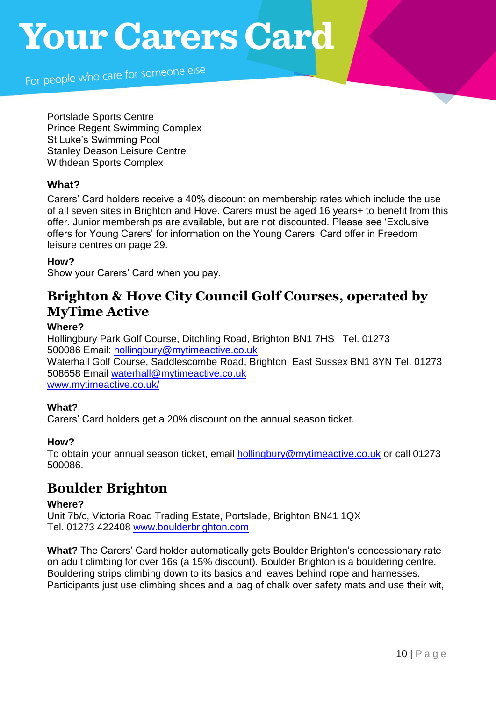For people who care for someone else

Portslade Sports Centre Prince Regent Swimming Complex St Luke's Swimming Pool Stanley Deason Leisure Centre Withdean Sports Complex

# **What?**

Carers' Card holders receive a 40% discount on membership rates which include the use of all seven sites in Brighton and Hove. Carers must be aged 16 years+ to benefit from this offer. Junior memberships are available, but are not discounted. Please see 'Exclusive offers for Young Carers' for information on the Young Carers' Card offer in Freedom leisure centres on page 29.

## **How?**

Show your Carers' Card when you pay.

# **Brighton & Hove City Council Golf Courses, operated by MyTime Active**

### **Where?**

Hollingbury Park Golf Course, Ditchling Road, Brighton BN1 7HS Tel. 01273 500086 Email: [hollingbury@mytimeactive.co.uk](mailto:hollingbury@mytimeactive.co.uk) Waterhall Golf Course, Saddlescombe Road, Brighton, East Sussex BN1 8YN Tel. 01273 508658 Email [waterhall@mytimeactive.co.uk](mailto:waterhall@mytimeactive.co.uk) [www.mytimeactive.co.uk/](http://www.mytimeactive.co.uk/)

### **What?**

Carers' Card holders get a 20% discount on the annual season ticket.

### **How?**

To obtain your annual season ticket, email [hollingbury@mytimeactive.co.uk](mailto:hollingbury@mytimeactive.co.uk) or call 01273 500086.

# **Boulder Brighton**

### **Where?**

Unit 7b/c, Victoria Road Trading Estate, Portslade, Brighton BN41 1QX Tel. 01273 422408 [www.boulderbrighton.com](http://www.boulderbrighton.com/)

**What?** The Carers' Card holder automatically gets Boulder Brighton's concessionary rate on adult climbing for over 16s (a 15% discount). Boulder Brighton is a bouldering centre. Bouldering strips climbing down to its basics and leaves behind rope and harnesses. Participants just use climbing shoes and a bag of chalk over safety mats and use their wit,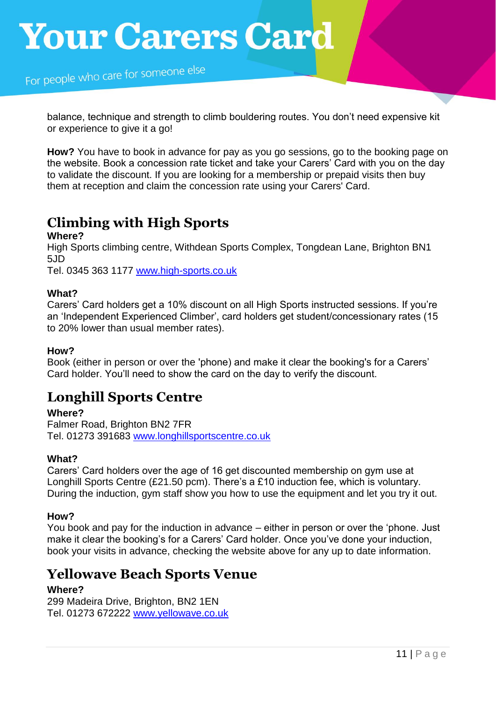balance, technique and strength to climb bouldering routes. You don't need expensive kit or experience to give it a go!

**How?** You have to book in advance for pay as you go sessions, go to the booking page on the website. Book a concession rate ticket and take your Carers' Card with you on the day to validate the discount. If you are looking for a membership or prepaid visits then buy them at reception and claim the concession rate using your Carers' Card.

# **Climbing with High Sports**

### **Where?**

High Sports climbing centre, Withdean Sports Complex, Tongdean Lane, Brighton BN1 5JD

Tel. 0345 363 1177 [www.high-sports.co.uk](http://www.high-sports.co.uk/)

## **What?**

Carers' Card holders get a 10% discount on all High Sports instructed sessions. If you're an 'Independent Experienced Climber', card holders get student/concessionary rates (15 to 20% lower than usual member rates).

### **How?**

Book (either in person or over the 'phone) and make it clear the booking's for a Carers' Card holder. You'll need to show the card on the day to verify the discount.

# **Longhill Sports Centre**

### **Where?**

Falmer Road, Brighton BN2 7FR Tel. 01273 391683 [www.longhillsportscentre.co.uk](http://www.longhillsportscentre.co.uk/)

## **What?**

Carers' Card holders over the age of 16 get discounted membership on gym use at Longhill Sports Centre (£21.50 pcm). There's a £10 induction fee, which is voluntary. During the induction, gym staff show you how to use the equipment and let you try it out.

## **How?**

You book and pay for the induction in advance – either in person or over the 'phone. Just make it clear the booking's for a Carers' Card holder. Once you've done your induction, book your visits in advance, checking the website above for any up to date information.

# **Yellowave Beach Sports Venue**

## **Where?**

299 Madeira Drive, Brighton, BN2 1EN Tel. 01273 672222 [www.yellowave.co.uk](http://www.yellowave.co.uk/)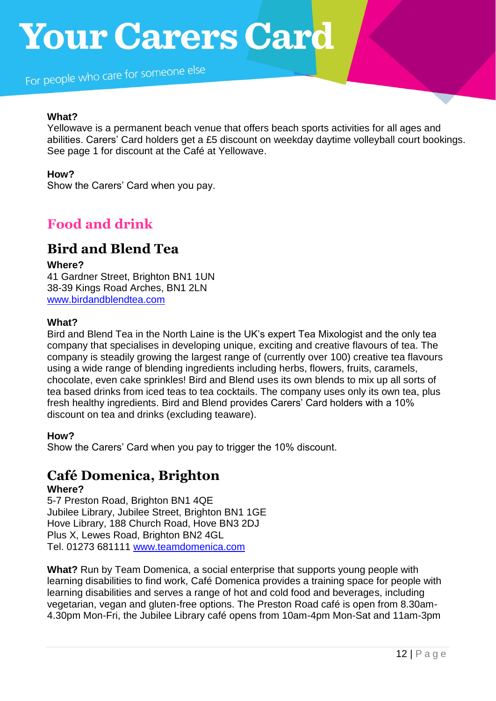For people who care for someone else

#### **What?**

Yellowave is a permanent beach venue that offers beach sports activities for all ages and abilities. Carers' Card holders get a £5 discount on weekday daytime volleyball court bookings. See page 1 for discount at the Café at Yellowave.

## **How?**

Show the Carers' Card when you pay.

# **Food and drink**

# **Bird and Blend Tea**

#### **Where?**

41 Gardner Street, Brighton BN1 1UN 38-39 Kings Road Arches, BN1 2LN [www.birdandblendtea.com](http://www.birdandblendtea.com/)

### **What?**

Bird and Blend Tea in the North Laine is the UK's expert Tea Mixologist and the only tea company that specialises in developing unique, exciting and creative flavours of tea. The company is steadily growing the largest range of (currently over 100) creative tea flavours using a wide range of blending ingredients including herbs, flowers, fruits, caramels, chocolate, even cake sprinkles! Bird and Blend uses its own blends to mix up all sorts of tea based drinks from iced teas to tea cocktails. The company uses only its own tea, plus fresh healthy ingredients. Bird and Blend provides Carers' Card holders with a 10% discount on tea and drinks (excluding teaware).

### **How?**

Show the Carers' Card when you pay to trigger the 10% discount.

# **Café Domenica, Brighton**

#### **Where?**

5-7 Preston Road, Brighton BN1 4QE Jubilee Library, Jubilee Street, Brighton BN1 1GE Hove Library, 188 Church Road, Hove BN3 2DJ Plus X, Lewes Road, Brighton BN2 4GL Tel. 01273 681111 [www.teamdomenica.com](http://www.teamdomenica.com/)

**What?** Run by Team Domenica, a social enterprise that supports young people with learning disabilities to find work, Café Domenica provides a training space for people with learning disabilities and serves a range of hot and cold food and beverages, including vegetarian, vegan and gluten-free options. The Preston Road café is open from 8.30am-4.30pm Mon-Fri, the Jubilee Library café opens from 10am-4pm Mon-Sat and 11am-3pm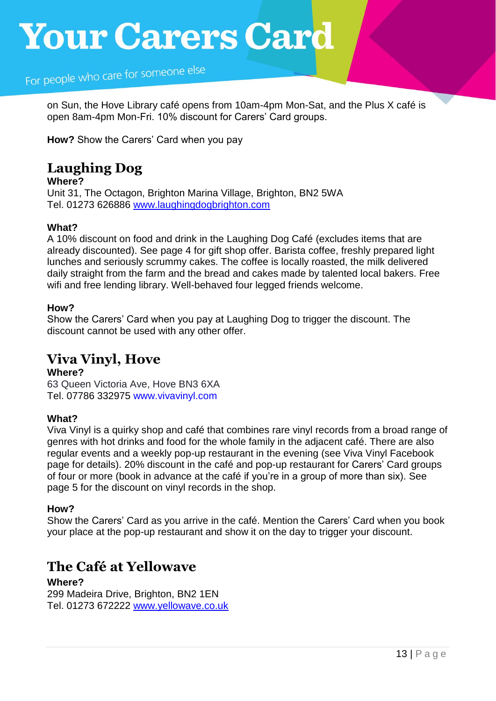For people who care for someone else

on Sun, the Hove Library café opens from 10am-4pm Mon-Sat, and the Plus X café is open 8am-4pm Mon-Fri. 10% discount for Carers' Card groups.

**How?** Show the Carers' Card when you pay

# **Laughing Dog**

### **Where?**

Unit 31, The Octagon, Brighton Marina Village, Brighton, BN2 5WA Tel. 01273 626886 [www.laughingdogbrighton.com](http://www.laughingdogbrighton.com/)

## **What?**

A 10% discount on food and drink in the Laughing Dog Café (excludes items that are already discounted). See page 4 for gift shop offer. Barista coffee, freshly prepared light lunches and seriously scrummy cakes. The coffee is locally roasted, the milk delivered daily straight from the farm and the bread and cakes made by talented local bakers. Free wifi and free lending library. Well-behaved four legged friends welcome.

## **How?**

Show the Carers' Card when you pay at Laughing Dog to trigger the discount. The discount cannot be used with any other offer.

# **Viva Vinyl, Hove**

**Where?** 63 Queen Victoria Ave, Hove BN3 6XA Tel. 07786 332975 [www.vivavinyl.com](http://www.vivavinyl.com/)

## **What?**

Viva Vinyl is a quirky shop and café that combines rare vinyl records from a broad range of genres with hot drinks and food for the whole family in the adjacent café. There are also regular events and a weekly pop-up restaurant in the evening (see Viva Vinyl Facebook page for details). 20% discount in the café and pop-up restaurant for Carers' Card groups of four or more (book in advance at the café if you're in a group of more than six). See page 5 for the discount on vinyl records in the shop.

### **How?**

Show the Carers' Card as you arrive in the café. Mention the Carers' Card when you book your place at the pop-up restaurant and show it on the day to trigger your discount.

# **The Café at Yellowave**

**Where?** 299 Madeira Drive, Brighton, BN2 1EN Tel. 01273 672222 [www.yellowave.co.uk](http://www.yellowave.co.uk/)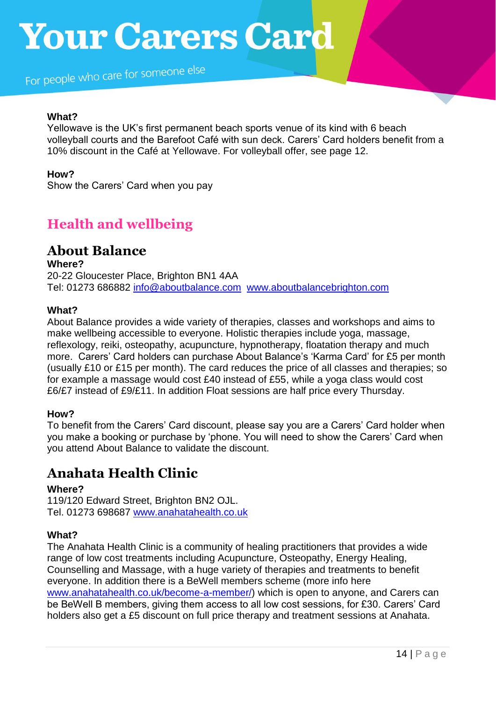For people who care for someone else

#### **What?**

Yellowave is the UK's first permanent beach sports venue of its kind with 6 beach volleyball courts and the Barefoot Café with sun deck. Carers' Card holders benefit from a 10% discount in the Café at Yellowave. For volleyball offer, see page 12.

## **How?**

Show the Carers' Card when you pay

# **Health and wellbeing**

# **About Balance**

**Where?** 20-22 Gloucester Place, Brighton BN1 4AA Tel: 01273 686882 [info@aboutbalance.com](mailto:info@aboutbalance.com) [www.aboutbalancebrighton.com](http://www.aboutbalancebrighton.com/)

### **What?**

About Balance provides a wide variety of therapies, classes and workshops and aims to make wellbeing accessible to everyone. Holistic therapies include yoga, massage, reflexology, reiki, osteopathy, acupuncture, hypnotherapy, floatation therapy and much more. Carers' Card holders can purchase About Balance's 'Karma Card' for £5 per month (usually £10 or £15 per month). The card reduces the price of all classes and therapies; so for example a massage would cost £40 instead of £55, while a yoga class would cost £6/£7 instead of £9/£11. In addition Float sessions are half price every Thursday.

### **How?**

To benefit from the Carers' Card discount, please say you are a Carers' Card holder when you make a booking or purchase by 'phone. You will need to show the Carers' Card when you attend About Balance to validate the discount.

# **Anahata Health Clinic**

### **Where?**

119/120 Edward Street, Brighton BN2 OJL. Tel. 01273 698687 [www.anahatahealth.co.uk](http://www.anahatahealth.co.uk/)

### **What?**

The Anahata Health Clinic is a community of healing practitioners that provides a wide range of low cost treatments including Acupuncture, Osteopathy, Energy Healing, Counselling and Massage, with a huge variety of therapies and treatments to benefit everyone. In addition there is a BeWell members scheme (more info here [www.anahatahealth.co.uk/become-a-member/\)](http://www.anahatahealth.co.uk/become-a-member/) which is open to anyone, and Carers can be BeWell B members, giving them access to all low cost sessions, for £30. Carers' Card holders also get a £5 discount on full price therapy and treatment sessions at Anahata.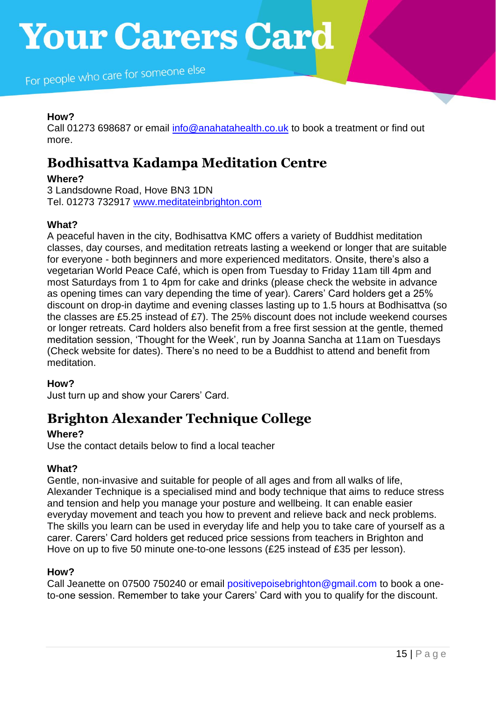## **How?**

Call 01273 698687 or email [info@anahatahealth.co.uk](mailto:info@anahatahealth.co.uk) to book a treatment or find out more.

# **Bodhisattva Kadampa Meditation Centre**

## **Where?**

3 Landsdowne Road, Hove BN3 1DN Tel. 01273 732917 [www.meditateinbrighton.com](http://www.meditateinbrighton.com/)

## **What?**

A peaceful haven in the city, Bodhisattva KMC offers a variety of Buddhist meditation classes, day courses, and meditation retreats lasting a weekend or longer that are suitable for everyone - both beginners and more experienced meditators. Onsite, there's also a vegetarian World Peace Café, which is open from Tuesday to Friday 11am till 4pm and most Saturdays from 1 to 4pm for cake and drinks (please check the website in advance as opening times can vary depending the time of year). Carers' Card holders get a 25% discount on drop-in daytime and evening classes lasting up to 1.5 hours at Bodhisattva (so the classes are £5.25 instead of £7). The 25% discount does not include weekend courses or longer retreats. Card holders also benefit from a free first session at the gentle, themed meditation session, 'Thought for the Week', run by Joanna Sancha at 11am on Tuesdays (Check website for dates). There's no need to be a Buddhist to attend and benefit from meditation.

### **How?**

Just turn up and show your Carers' Card.

# **Brighton Alexander Technique College**

## **Where?**

Use the contact details below to find a local teacher

## **What?**

Gentle, non-invasive and suitable for people of all ages and from all walks of life, Alexander Technique is a specialised mind and body technique that aims to reduce stress and tension and help you manage your posture and wellbeing. It can enable easier everyday movement and teach you how to prevent and relieve back and neck problems. The skills you learn can be used in everyday life and help you to take care of yourself as a carer. Carers' Card holders get reduced price sessions from teachers in Brighton and Hove on up to five 50 minute one-to-one lessons (£25 instead of £35 per lesson).

### **How?**

Call Jeanette on 07500 750240 or email positivepoisebrighton@gmail.com to book a oneto-one session. Remember to take your Carers' Card with you to qualify for the discount.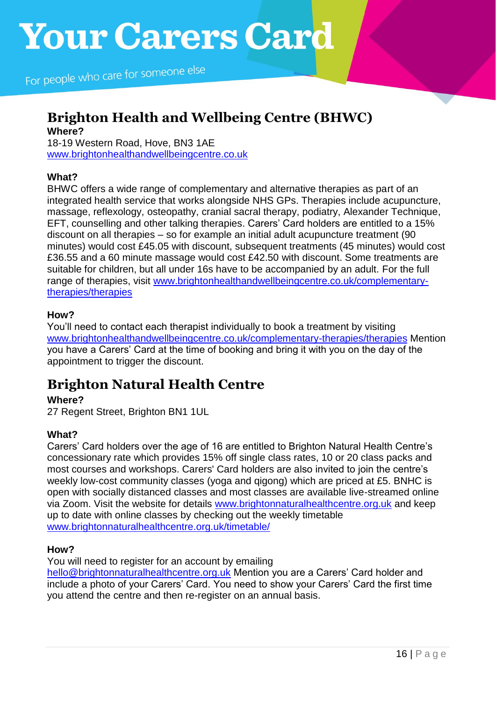# **Brighton Health and Wellbeing Centre (BHWC) Where?**

18-19 Western Road, Hove, BN3 1AE [www.brightonhealthandwellbeingcentre.co.uk](http://www.brightonhealthandwellbeingcentre.co.uk/)

## **What?**

BHWC offers a wide range of complementary and alternative therapies as part of an integrated health service that works alongside NHS GPs. Therapies include acupuncture, massage, reflexology, osteopathy, cranial sacral therapy, podiatry, Alexander Technique, EFT, counselling and other talking therapies. Carers' Card holders are entitled to a 15% discount on all therapies – so for example an initial adult acupuncture treatment (90 minutes) would cost £45.05 with discount, subsequent treatments (45 minutes) would cost £36.55 and a 60 minute massage would cost £42.50 with discount. Some treatments are suitable for children, but all under 16s have to be accompanied by an adult. For the full range of therapies, visit [www.brightonhealthandwellbeingcentre.co.uk/complementary](http://www.brightonhealthandwellbeingcentre.co.uk/complementary-therapies/therapies)[therapies/therapies](http://www.brightonhealthandwellbeingcentre.co.uk/complementary-therapies/therapies)

### **How?**

You'll need to contact each therapist individually to book a treatment by visiting [www.brightonhealthandwellbeingcentre.co.uk/complementary-therapies/therapies](http://www.brightonhealthandwellbeingcentre.co.uk/complementary-therapies/therapies) Mention you have a Carers' Card at the time of booking and bring it with you on the day of the appointment to trigger the discount.

# **Brighton Natural Health Centre**

## **Where?**

27 Regent Street, Brighton BN1 1UL

## **What?**

Carers' Card holders over the age of 16 are entitled to Brighton Natural Health Centre's concessionary rate which provides 15% off single class rates, 10 or 20 class packs and most courses and workshops. Carers' Card holders are also invited to join the centre's weekly low-cost community classes (yoga and qigong) which are priced at £5. BNHC is open with socially distanced classes and most classes are available live-streamed online via Zoom. Visit the website for details [www.brightonnaturalhealthcentre.org.uk](http://www.brightonnaturalhealthcentre.org.uk/) and keep up to date with online classes by checking out the weekly timetable [www.brightonnaturalhealthcentre.org.uk/timetable/](http://www.brightonnaturalhealthcentre.org.uk/timetable/)

### **How?**

You will need to register for an account by emailing

[hello@brightonnaturalhealthcentre.org.uk](mailto:hello@brightonnaturalhealthcentre.org.uk) Mention you are a Carers' Card holder and include a photo of your Carers' Card. You need to show your Carers' Card the first time you attend the centre and then re-register on an annual basis.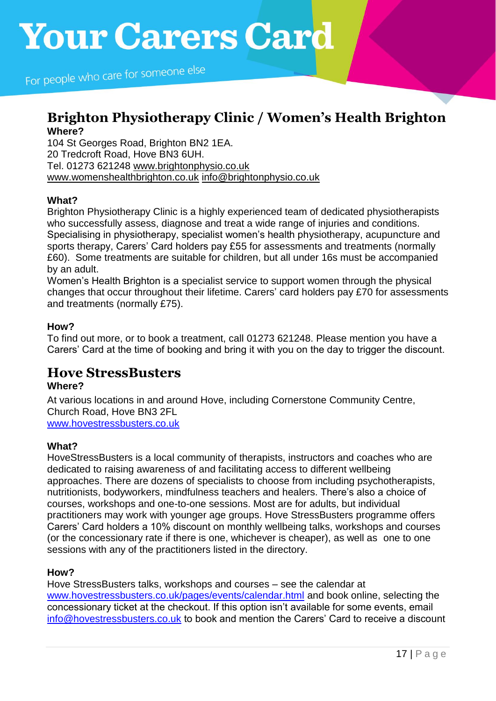# **Brighton Physiotherapy Clinic / Women's Health Brighton Where?**

104 St Georges Road, Brighton BN2 1EA. 20 Tredcroft Road, Hove BN3 6UH. Tel. 01273 621248 [www.brightonphysio.co.uk](http://www.brightonphysio.co.uk/) [www.womenshealthbrighton.co.uk](http://www.womenshealthbrighton.co.uk/) [info@brightonphysio.co.uk](mailto:info@brightonphysio.co.uk)

# **What?**

Brighton Physiotherapy Clinic is a highly experienced team of dedicated physiotherapists who successfully assess, diagnose and treat a wide range of injuries and conditions. Specialising in physiotherapy, specialist women's health physiotherapy, acupuncture and sports therapy, Carers' Card holders pay £55 for assessments and treatments (normally £60). Some treatments are suitable for children, but all under 16s must be accompanied by an adult.

Women's Health Brighton is a specialist service to support women through the physical changes that occur throughout their lifetime. Carers' card holders pay £70 for assessments and treatments (normally £75).

## **How?**

To find out more, or to book a treatment, call 01273 621248. Please mention you have a Carers' Card at the time of booking and bring it with you on the day to trigger the discount.

# **Hove StressBusters**

## **Where?**

At various locations in and around Hove, including Cornerstone Community Centre, Church Road, Hove BN3 2FL [www.hovestressbusters.co.uk](http://www.hovestressbusters.co.uk/)

## **What?**

HoveStressBusters is a local community of therapists, instructors and coaches who are dedicated to raising awareness of and facilitating access to different wellbeing approaches. There are dozens of specialists to choose from including psychotherapists, nutritionists, bodyworkers, mindfulness teachers and healers. There's also a choice of courses, workshops and one-to-one sessions. Most are for adults, but individual practitioners may work with younger age groups. Hove StressBusters programme offers Carers' Card holders a 10% discount on monthly wellbeing talks, workshops and courses (or the concessionary rate if there is one, whichever is cheaper), as well as one to one sessions with any of the practitioners listed in the directory.

### **How?**

Hove StressBusters talks, workshops and courses – see the calendar at [www.hovestressbusters.co.uk/pages/events/calendar.html](http://www.hovestressbusters.co.uk/pages/events/calendar.html) and book online, selecting the concessionary ticket at the checkout. If this option isn't available for some events, email [info@hovestressbusters.co.uk](mailto:info@hovestressbusters.co.uk) to book and mention the Carers' Card to receive a discount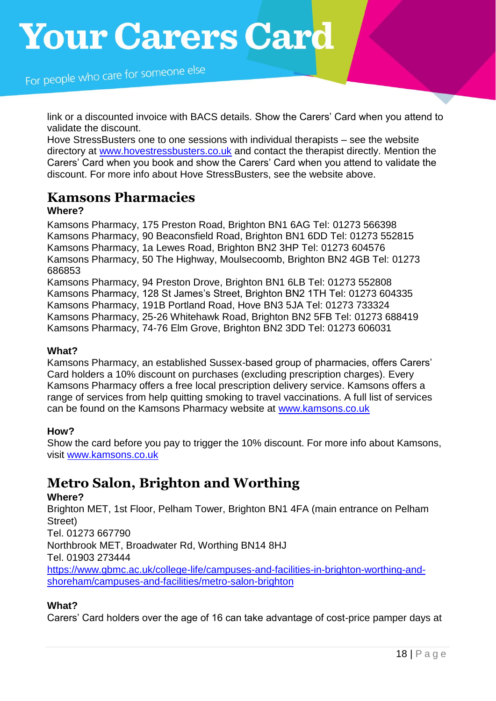For people who care for someone else

link or a discounted invoice with BACS details. Show the Carers' Card when you attend to validate the discount.

Hove StressBusters one to one sessions with individual therapists – see the website directory at [www.hovestressbusters.co.uk](http://www.hovestressbusters.co.uk/) and contact the therapist directly. Mention the Carers' Card when you book and show the Carers' Card when you attend to validate the discount. For more info about Hove StressBusters, see the website above.

# **Kamsons Pharmacies**

## **Where?**

Kamsons Pharmacy, 175 Preston Road, Brighton BN1 6AG Tel: 01273 566398 Kamsons Pharmacy, 90 Beaconsfield Road, Brighton BN1 6DD Tel: 01273 552815 Kamsons Pharmacy, 1a Lewes Road, Brighton BN2 3HP Tel: 01273 604576 Kamsons Pharmacy, 50 The Highway, Moulsecoomb, Brighton BN2 4GB Tel: 01273 686853 Kamsons Pharmacy, 94 Preston Drove, Brighton BN1 6LB Tel: 01273 552808

Kamsons Pharmacy, 128 St James's Street, Brighton BN2 1TH Tel: 01273 604335 Kamsons Pharmacy, 191B Portland Road, Hove BN3 5JA Tel: 01273 733324 Kamsons Pharmacy, 25-26 Whitehawk Road, Brighton BN2 5FB Tel: 01273 688419 Kamsons Pharmacy, 74-76 Elm Grove, Brighton BN2 3DD Tel: 01273 606031

### **What?**

Kamsons Pharmacy, an established Sussex-based group of pharmacies, offers Carers' Card holders a 10% discount on purchases (excluding prescription charges). Every Kamsons Pharmacy offers a free local prescription delivery service. Kamsons offers a range of services from help quitting smoking to travel vaccinations. A full list of services can be found on the Kamsons Pharmacy website at [www.kamsons.co.uk](http://www.kamsons.co.uk/)

### **How?**

Show the card before you pay to trigger the 10% discount. For more info about Kamsons, visit [www.kamsons.co.uk](http://www.kamsons.co.uk/)

# **Metro Salon, Brighton and Worthing**

### **Where?**

Brighton MET, 1st Floor, Pelham Tower, Brighton BN1 4FA (main entrance on Pelham Street) Tel. 01273 667790 Northbrook MET, Broadwater Rd, Worthing BN14 8HJ Tel. 01903 273444 [https://www.gbmc.ac.uk/college-life/campuses-and-facilities-in-brighton-worthing-and](https://www.gbmc.ac.uk/college-life/campuses-and-facilities-in-brighton-worthing-and-shoreham/campuses-and-facilities/metro-salon-brighton)[shoreham/campuses-and-facilities/metro-salon-brighton](https://www.gbmc.ac.uk/college-life/campuses-and-facilities-in-brighton-worthing-and-shoreham/campuses-and-facilities/metro-salon-brighton)

## **What?**

Carers' Card holders over the age of 16 can take advantage of cost-price pamper days at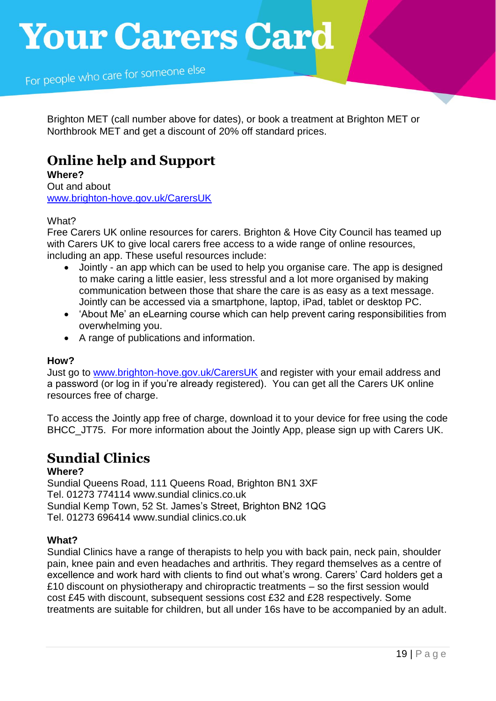For people who care for someone else

Brighton MET (call number above for dates), or book a treatment at Brighton MET or Northbrook MET and get a discount of 20% off standard prices.

# **Online help and Support**

**Where?**  Out and about [www.brighton-hove.gov.uk/CarersUK](http://www.brighton-hove.gov.uk/CarersUK)

### What?

Free Carers UK online resources for carers. Brighton & Hove City Council has teamed up with Carers UK to give local carers free access to a wide range of online resources, including an app. These useful resources include:

- Jointly an app which can be used to help you organise care. The app is designed to make caring a little easier, less stressful and a lot more organised by making communication between those that share the care is as easy as a text message. Jointly can be accessed via a smartphone, laptop, iPad, tablet or desktop PC.
- 'About Me' an eLearning course which can help prevent caring responsibilities from overwhelming you.
- A range of publications and information.

### **How?**

Just go to [www.brighton-hove.gov.uk/CarersUK](http://www.brighton-hove.gov.uk/CarersUK) and register with your email address and a password (or log in if you're already registered). You can get all the Carers UK online resources free of charge.

To access the Jointly app free of charge, download it to your device for free using the code BHCC\_JT75. For more information about the Jointly App, please sign up with Carers UK.

# **Sundial Clinics**

## **Where?**

Sundial Queens Road, 111 Queens Road, Brighton BN1 3XF Tel. 01273 774114 www.sundial clinics.co.uk Sundial Kemp Town, 52 St. James's Street, Brighton BN2 1QG Tel. 01273 696414 www.sundial clinics.co.uk

## **What?**

Sundial Clinics have a range of therapists to help you with back pain, neck pain, shoulder pain, knee pain and even headaches and arthritis. They regard themselves as a centre of excellence and work hard with clients to find out what's wrong. Carers' Card holders get a £10 discount on physiotherapy and chiropractic treatments – so the first session would cost £45 with discount, subsequent sessions cost £32 and £28 respectively. Some treatments are suitable for children, but all under 16s have to be accompanied by an adult.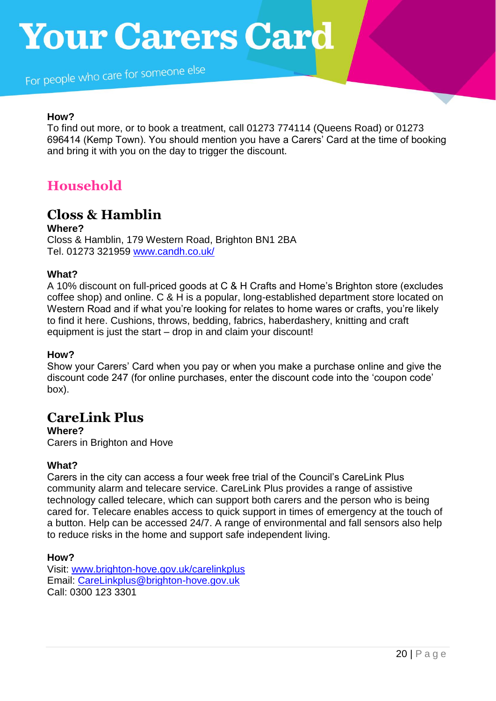For people who care for someone else

## **How?**

To find out more, or to book a treatment, call 01273 774114 (Queens Road) or 01273 696414 (Kemp Town). You should mention you have a Carers' Card at the time of booking and bring it with you on the day to trigger the discount.

# **Household**

# **Closs & Hamblin**

**Where?**

Closs & Hamblin, 179 Western Road, Brighton BN1 2BA Tel. 01273 321959 [www.candh.co.uk/](http://www.candh.co.uk/)

### **What?**

A 10% discount on full-priced goods at C & H Crafts and Home's Brighton store (excludes coffee shop) and online. C & H is a popular, long-established department store located on Western Road and if what you're looking for relates to home wares or crafts, you're likely to find it here. Cushions, throws, bedding, fabrics, haberdashery, knitting and craft equipment is just the start – drop in and claim your discount!

### **How?**

Show your Carers' Card when you pay or when you make a purchase online and give the discount code 247 (for online purchases, enter the discount code into the 'coupon code' box).

# **CareLink Plus**

**Where?**

Carers in Brighton and Hove

## **What?**

Carers in the city can access a four week free trial of the Council's CareLink Plus community alarm and telecare service. CareLink Plus provides a range of assistive technology called telecare, which can support both carers and the person who is being cared for. Telecare enables access to quick support in times of emergency at the touch of a button. Help can be accessed 24/7. A range of environmental and fall sensors also help to reduce risks in the home and support safe independent living.

### **How?**

Visit: [www.brighton-hove.gov.uk/carelinkplus](http://www.brighton-hove.gov.uk/carelinkplus) Email: [CareLinkplus@brighton-hove.gov.uk](mailto:CareLinkplus@brighton-hove.gov.uk) Call: 0300 123 3301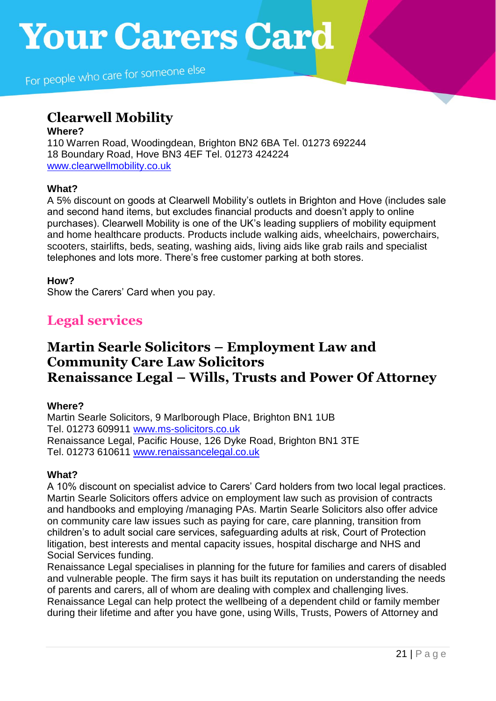# **Clearwell Mobility**

### **Where?**

110 Warren Road, Woodingdean, Brighton BN2 6BA Tel. 01273 692244 18 Boundary Road, Hove BN3 4EF Tel. 01273 424224 [www.clearwellmobility.co.uk](http://www.clearwellmobility.co.uk/)

# **What?**

A 5% discount on goods at Clearwell Mobility's outlets in Brighton and Hove (includes sale and second hand items, but excludes financial products and doesn't apply to online purchases). Clearwell Mobility is one of the UK's leading suppliers of mobility equipment and home healthcare products. Products include walking aids, wheelchairs, powerchairs, scooters, stairlifts, beds, seating, washing aids, living aids like grab rails and specialist telephones and lots more. There's free customer parking at both stores.

## **How?**

Show the Carers' Card when you pay.

# **Legal services**

# **Martin Searle Solicitors – Employment Law and Community Care Law Solicitors Renaissance Legal – Wills, Trusts and Power Of Attorney**

## **Where?**

Martin Searle Solicitors, 9 Marlborough Place, Brighton BN1 1UB Tel. 01273 609911 [www.ms-solicitors.co.uk](http://www.ms-solicitors.co.uk/) Renaissance Legal, Pacific House, 126 Dyke Road, Brighton BN1 3TE Tel. 01273 610611 [www.renaissancelegal.co.uk](http://www.renaissancelegal.co.uk/)

## **What?**

A 10% discount on specialist advice to Carers' Card holders from two local legal practices. Martin Searle Solicitors offers advice on employment law such as provision of contracts and handbooks and employing /managing PAs. Martin Searle Solicitors also offer advice on community care law issues such as paying for care, care planning, transition from children's to adult social care services, safeguarding adults at risk, Court of Protection litigation, best interests and mental capacity issues, hospital discharge and NHS and Social Services funding.

Renaissance Legal specialises in planning for the future for families and carers of disabled and vulnerable people. The firm says it has built its reputation on understanding the needs of parents and carers, all of whom are dealing with complex and challenging lives. Renaissance Legal can help protect the wellbeing of a dependent child or family member during their lifetime and after you have gone, using Wills, Trusts, Powers of Attorney and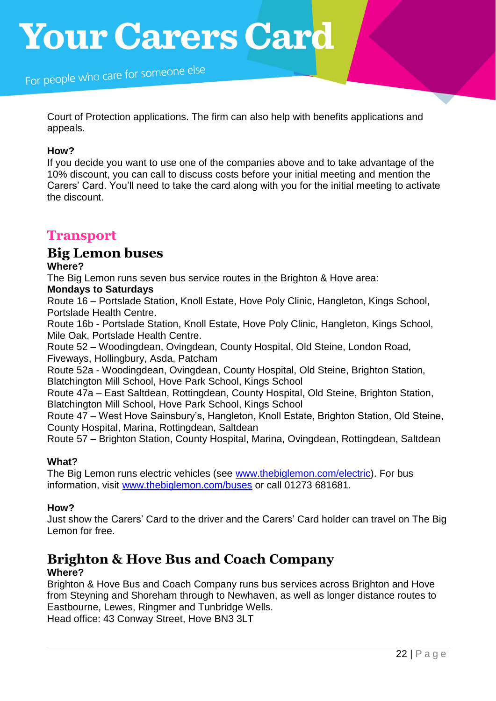Court of Protection applications. The firm can also help with benefits applications and appeals.

#### **How?**

If you decide you want to use one of the companies above and to take advantage of the 10% discount, you can call to discuss costs before your initial meeting and mention the Carers' Card. You'll need to take the card along with you for the initial meeting to activate the discount.

# **Transport**

# **Big Lemon buses**

## **Where?**

The Big Lemon runs seven bus service routes in the Brighton & Hove area:

## **Mondays to Saturdays**

Route 16 – Portslade Station, Knoll Estate, Hove Poly Clinic, Hangleton, Kings School, Portslade Health Centre.

Route 16b - Portslade Station, Knoll Estate, Hove Poly Clinic, Hangleton, Kings School, Mile Oak, Portslade Health Centre.

Route 52 – Woodingdean, Ovingdean, County Hospital, Old Steine, London Road, Fiveways, Hollingbury, Asda, Patcham

Route 52a - Woodingdean, Ovingdean, County Hospital, Old Steine, Brighton Station, Blatchington Mill School, Hove Park School, Kings School

Route 47a – East Saltdean, Rottingdean, County Hospital, Old Steine, Brighton Station, Blatchington Mill School, Hove Park School, Kings School

Route 47 – West Hove Sainsbury's, Hangleton, Knoll Estate, Brighton Station, Old Steine, County Hospital, Marina, Rottingdean, Saltdean

Route 57 – Brighton Station, County Hospital, Marina, Ovingdean, Rottingdean, Saltdean

## **What?**

The Big Lemon runs electric vehicles (see [www.thebiglemon.com/electric\)](http://www.thebiglemon.com/electric). For bus information, visit [www.thebiglemon.com/buses](http://www.thebiglemon.com/buses) or call 01273 681681.

## **How?**

Just show the Carers' Card to the driver and the Carers' Card holder can travel on The Big Lemon for free.

# **Brighton & Hove Bus and Coach Company**

### **Where?**

Brighton & Hove Bus and Coach Company runs bus services across Brighton and Hove from Steyning and Shoreham through to Newhaven, as well as longer distance routes to Eastbourne, Lewes, Ringmer and Tunbridge Wells.

Head office: 43 Conway Street, Hove BN3 3LT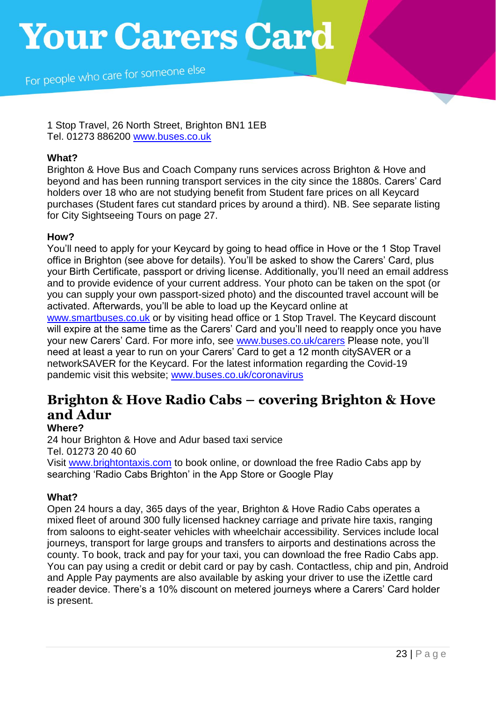For people who care for someone else

1 Stop Travel, 26 North Street, Brighton BN1 1EB Tel. 01273 886200 [www.buses.co.uk](http://www.buses.co.uk/)

#### **What?**

Brighton & Hove Bus and Coach Company runs services across Brighton & Hove and beyond and has been running transport services in the city since the 1880s. Carers' Card holders over 18 who are not studying benefit from Student fare prices on all Keycard purchases (Student fares cut standard prices by around a third). NB. See separate listing for City Sightseeing Tours on page 27.

### **How?**

You'll need to apply for your Keycard by going to head office in Hove or the 1 Stop Travel office in Brighton (see above for details). You'll be asked to show the Carers' Card, plus your Birth Certificate, passport or driving license. Additionally, you'll need an email address and to provide evidence of your current address. Your photo can be taken on the spot (or you can supply your own passport-sized photo) and the discounted travel account will be activated. Afterwards, you'll be able to load up the Keycard online at

[www.smartbuses.co.uk](http://www.smartbuses.co.uk/) or by visiting head office or 1 Stop Travel. The Keycard discount will expire at the same time as the Carers' Card and you'll need to reapply once you have your new Carers' Card. For more info, see [www.buses.co.uk/carers](http://www.buses.co.uk/carers) Please note, you'll need at least a year to run on your Carers' Card to get a 12 month citySAVER or a networkSAVER for the Keycard. For the latest information regarding the Covid-19 pandemic visit this website; [www.buses.co.uk/coronavirus](http://www.buses.co.uk/coronavirus)

# **Brighton & Hove Radio Cabs – covering Brighton & Hove and Adur**

### **Where?**

24 hour Brighton & Hove and Adur based taxi service Tel. 01273 20 40 60

Visit [www.brightontaxis.com](http://www.brightontaxis.com/) to book online, or download the free Radio Cabs app by searching 'Radio Cabs Brighton' in the App Store or Google Play

## **What?**

Open 24 hours a day, 365 days of the year, Brighton & Hove Radio Cabs operates a mixed fleet of around 300 fully licensed hackney carriage and private hire taxis, ranging from saloons to eight-seater vehicles with wheelchair accessibility. Services include local journeys, transport for large groups and transfers to airports and destinations across the county. To book, track and pay for your taxi, you can download the free Radio Cabs app. You can pay using a credit or debit card or pay by cash. Contactless, chip and pin, Android and Apple Pay payments are also available by asking your driver to use the iZettle card reader device. There's a 10% discount on metered journeys where a Carers' Card holder is present.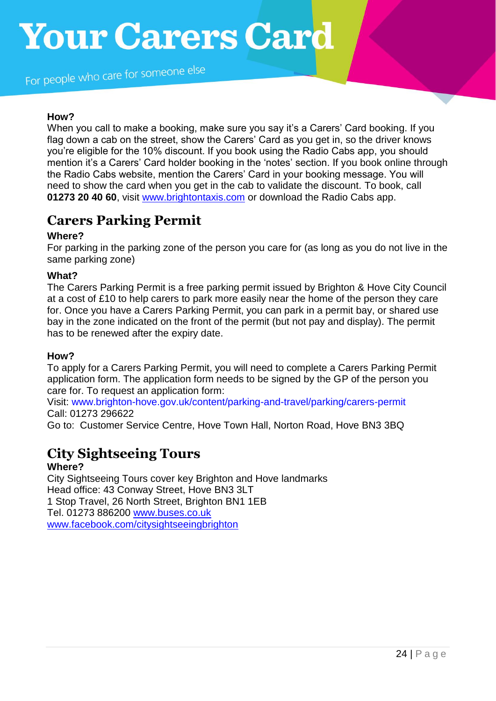For people who care for someone else

### **How?**

When you call to make a booking, make sure you say it's a Carers' Card booking. If you flag down a cab on the street, show the Carers' Card as you get in, so the driver knows you're eligible for the 10% discount. If you book using the Radio Cabs app, you should mention it's a Carers' Card holder booking in the 'notes' section. If you book online through the Radio Cabs website, mention the Carers' Card in your booking message. You will need to show the card when you get in the cab to validate the discount. To book, call **01273 20 40 60**, visit [www.brightontaxis.com](http://www.brightontaxis.com/) or download the Radio Cabs app.

# **Carers Parking Permit**

### **Where?**

For parking in the parking zone of the person you care for (as long as you do not live in the same parking zone)

### **What?**

The Carers Parking Permit is a free parking permit issued by Brighton & Hove City Council at a cost of £10 to help carers to park more easily near the home of the person they care for. Once you have a Carers Parking Permit, you can park in a permit bay, or shared use bay in the zone indicated on the front of the permit (but not pay and display). The permit has to be renewed after the expiry date.

### **How?**

To apply for a Carers Parking Permit, you will need to complete a Carers Parking Permit application form. The application form needs to be signed by the GP of the person you care for. To request an application form:

Visit: [www.brighton-hove.gov.uk/content/parking-and-travel/parking/carers-permit](http://www.brighton-hove.gov.uk/content/parking-and-travel/parking/carers-permit) Call: 01273 296622

Go to: Customer Service Centre, Hove Town Hall, Norton Road, Hove BN3 3BQ

# **City Sightseeing Tours**

### **Where?**

City Sightseeing Tours cover key Brighton and Hove landmarks Head office: 43 Conway Street, Hove BN3 3LT 1 Stop Travel, 26 North Street, Brighton BN1 1EB Tel. 01273 886200 [www.buses.co.uk](http://www.buses.co.uk/) www.facebook.com/citysightseeingbrighton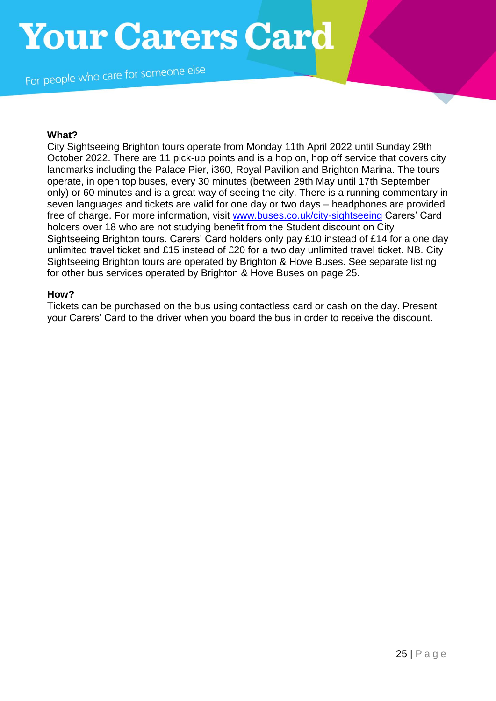For people who care for someone else

#### **What?**

City Sightseeing Brighton tours operate from Monday 11th April 2022 until Sunday 29th October 2022. There are 11 pick-up points and is a hop on, hop off service that covers city landmarks including the Palace Pier, i360, Royal Pavilion and Brighton Marina. The tours operate, in open top buses, every 30 minutes (between 29th May until 17th September only) or 60 minutes and is a great way of seeing the city. There is a running commentary in seven languages and tickets are valid for one day or two days – headphones are provided free of charge. For more information, visit [www.buses.co.uk/city-sightseeing](http://www.buses.co.uk/city-sightseeing) Carers' Card holders over 18 who are not studying benefit from the Student discount on City Sightseeing Brighton tours. Carers' Card holders only pay £10 instead of £14 for a one day unlimited travel ticket and £15 instead of £20 for a two day unlimited travel ticket. NB. City Sightseeing Brighton tours are operated by Brighton & Hove Buses. See separate listing for other bus services operated by Brighton & Hove Buses on page 25.

#### **How?**

Tickets can be purchased on the bus using contactless card or cash on the day. Present your Carers' Card to the driver when you board the bus in order to receive the discount.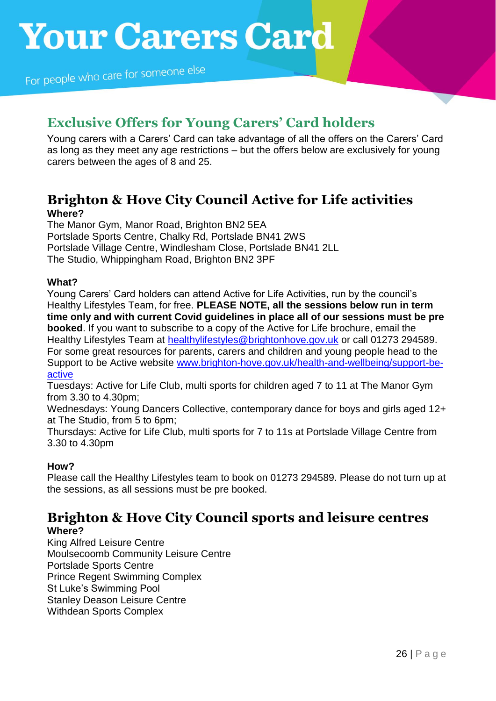# **Exclusive Offers for Young Carers' Card holders**

Young carers with a Carers' Card can take advantage of all the offers on the Carers' Card as long as they meet any age restrictions – but the offers below are exclusively for young carers between the ages of 8 and 25.

# **Brighton & Hove City Council Active for Life activities Where?**

The Manor Gym, Manor Road, Brighton BN2 5EA Portslade Sports Centre, Chalky Rd, Portslade BN41 2WS Portslade Village Centre, Windlesham Close, Portslade BN41 2LL The Studio, Whippingham Road, Brighton BN2 3PF

## **What?**

Young Carers' Card holders can attend Active for Life Activities, run by the council's Healthy Lifestyles Team, for free. **PLEASE NOTE, all the sessions below run in term time only and with current Covid guidelines in place all of our sessions must be pre booked**. If you want to subscribe to a copy of the Active for Life brochure, email the Healthy Lifestyles Team at [healthylifestyles@brightonhove.gov.uk](mailto:healthylifestyles@brightonhove.gov.uk) or call 01273 294589. For some great resources for parents, carers and children and young people head to the Support to be Active website [www.brighton-hove.gov.uk/health-and-wellbeing/support-be](http://www.brighton-hove.gov.uk/health-and-wellbeing/support-be-active)[active](http://www.brighton-hove.gov.uk/health-and-wellbeing/support-be-active)

Tuesdays: Active for Life Club, multi sports for children aged 7 to 11 at The Manor Gym from 3.30 to 4.30pm;

Wednesdays: Young Dancers Collective, contemporary dance for boys and girls aged 12+ at The Studio, from 5 to 6pm;

Thursdays: Active for Life Club, multi sports for 7 to 11s at Portslade Village Centre from 3.30 to 4.30pm

## **How?**

Please call the Healthy Lifestyles team to book on 01273 294589. Please do not turn up at the sessions, as all sessions must be pre booked.

# **Brighton & Hove City Council sports and leisure centres Where?**

King Alfred Leisure Centre Moulsecoomb Community Leisure Centre Portslade Sports Centre Prince Regent Swimming Complex St Luke's Swimming Pool Stanley Deason Leisure Centre Withdean Sports Complex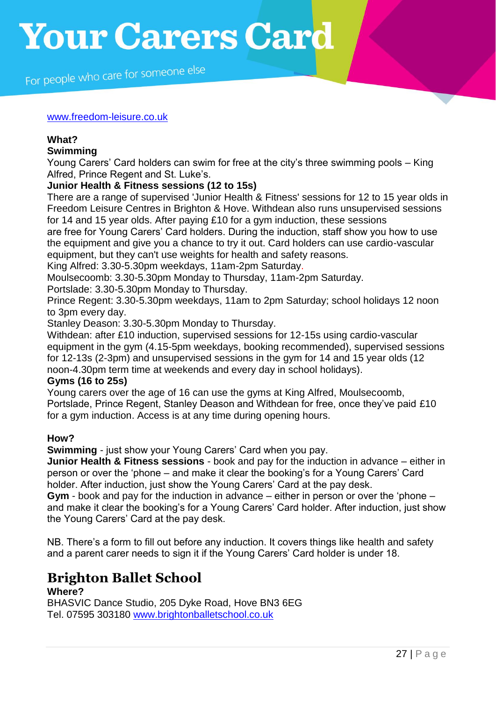For people who care for someone else

#### [www.freedom-leisure.co.uk](http://www.freedom-leisure.co.uk/)

# **What?**

#### **Swimming**

Young Carers' Card holders can swim for free at the city's three swimming pools – King Alfred, Prince Regent and St. Luke's.

### **Junior Health & Fitness sessions (12 to 15s)**

There are a range of supervised 'Junior Health & Fitness' sessions for 12 to 15 year olds in Freedom Leisure Centres in Brighton & Hove. Withdean also runs unsupervised sessions for 14 and 15 year olds. After paying £10 for a gym induction, these sessions are free for Young Carers' Card holders. During the induction, staff show you how to use the equipment and give you a chance to try it out. Card holders can use cardio-vascular equipment, but they can't use weights for health and safety reasons.

King Alfred: 3.30-5.30pm weekdays, 11am-2pm Saturday.

Moulsecoomb: 3.30-5.30pm Monday to Thursday, 11am-2pm Saturday.

Portslade: 3.30-5.30pm Monday to Thursday.

Prince Regent: 3.30-5.30pm weekdays, 11am to 2pm Saturday; school holidays 12 noon to 3pm every day.

Stanley Deason: 3.30-5.30pm Monday to Thursday.

Withdean: after £10 induction, supervised sessions for 12-15s using cardio-vascular equipment in the gym (4.15-5pm weekdays, booking recommended), supervised sessions for 12-13s (2-3pm) and unsupervised sessions in the gym for 14 and 15 year olds (12 noon-4.30pm term time at weekends and every day in school holidays).

#### **Gyms (16 to 25s)**

Young carers over the age of 16 can use the gyms at King Alfred, Moulsecoomb, Portslade, Prince Regent, Stanley Deason and Withdean for free, once they've paid £10 for a gym induction. Access is at any time during opening hours.

### **How?**

**Swimming** - just show your Young Carers' Card when you pay.

**Junior Health & Fitness sessions** - book and pay for the induction in advance – either in person or over the 'phone – and make it clear the booking's for a Young Carers' Card holder. After induction, just show the Young Carers' Card at the pay desk.

**Gym** - book and pay for the induction in advance – either in person or over the 'phone – and make it clear the booking's for a Young Carers' Card holder. After induction, just show the Young Carers' Card at the pay desk.

NB. There's a form to fill out before any induction. It covers things like health and safety and a parent carer needs to sign it if the Young Carers' Card holder is under 18.

# **Brighton Ballet School**

### **Where?**

BHASVIC Dance Studio, 205 Dyke Road, Hove BN3 6EG Tel. 07595 303180 [www.brightonballetschool.co.uk](http://www.brightonballetschool.co.uk/)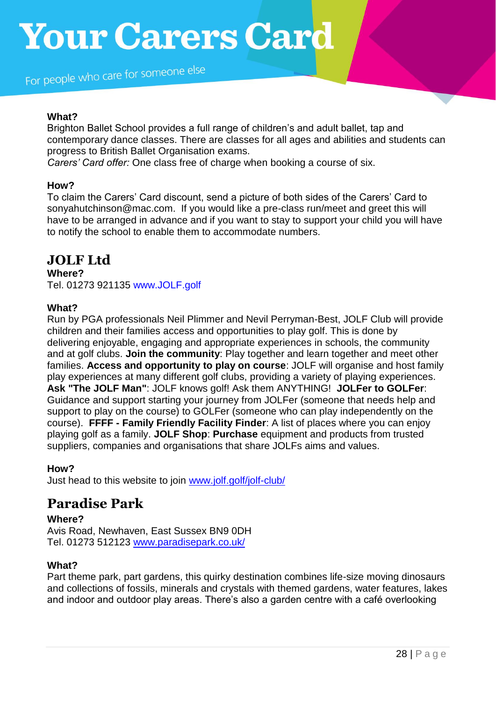For people who care for someone else

### **What?**

Brighton Ballet School provides a full range of children's and adult ballet, tap and contemporary dance classes. There are classes for all ages and abilities and students can progress to British Ballet Organisation exams.

*Carers' Card offer:* One class free of charge when booking a course of six.

#### **How?**

To claim the Carers' Card discount, send a picture of both sides of the Carers' Card to sonyahutchinson@mac.com. If you would like a pre-class run/meet and greet this will have to be arranged in advance and if you want to stay to support your child you will have to notify the school to enable them to accommodate numbers.

# **JOLF Ltd**

### **Where?**

Tel. 01273 921135 www.JOLF.golf

### **What?**

Run by PGA professionals Neil Plimmer and Nevil Perryman-Best, JOLF Club will provide children and their families access and opportunities to play golf. This is done by delivering enjoyable, engaging and appropriate experiences in schools, the community and at golf clubs. **Join the community**: Play together and learn together and meet other families. **Access and opportunity to play on course**: JOLF will organise and host family play experiences at many different golf clubs, providing a variety of playing experiences. **Ask "The JOLF Man"**: JOLF knows golf! Ask them ANYTHING! **JOLFer to GOLFer**: Guidance and support starting your journey from JOLFer (someone that needs help and support to play on the course) to GOLFer (someone who can play independently on the course). **FFFF - Family Friendly Facility Finder**: A list of places where you can enjoy playing golf as a family. **JOLF Shop**: **Purchase** equipment and products from trusted suppliers, companies and organisations that share JOLFs aims and values.

### **How?**

Just head to this website to join [www.jolf.golf/jolf-club/](http://www.jolf.golf/jolf-club/)

# **Paradise Park**

### **Where?**

Avis Road, Newhaven, East Sussex BN9 0DH Tel. 01273 512123 [www.paradisepark.co.uk/](http://www.paradisepark.co.uk/)

### **What?**

Part theme park, part gardens, this quirky destination combines life-size moving dinosaurs and collections of fossils, minerals and crystals with themed gardens, water features, lakes and indoor and outdoor play areas. There's also a garden centre with a café overlooking